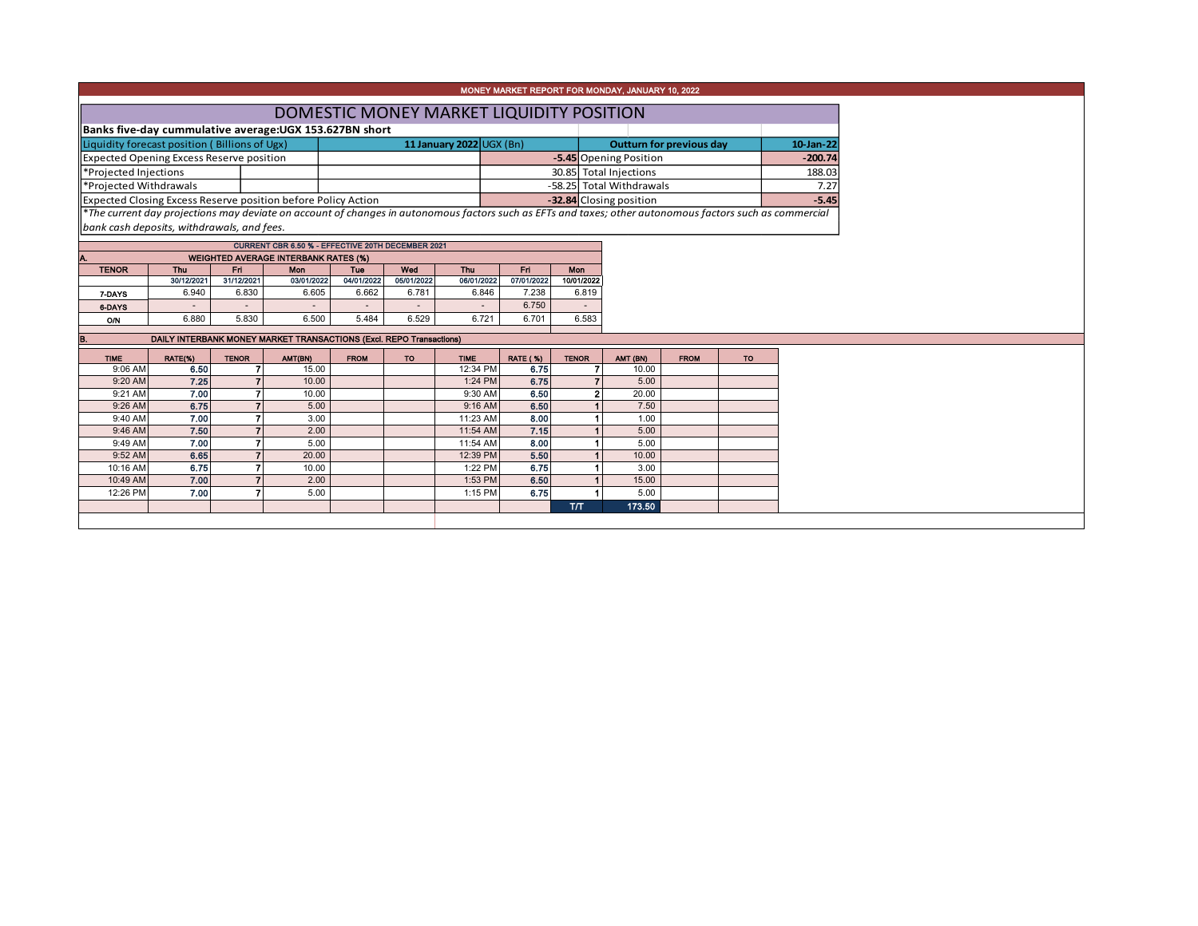| MONEY MARKET REPORT FOR MONDAY, JANUARY 10, 2022                                                                                                         |                                          |                                             |                                                                     |                          |                   |                          |                        |                   |                                 |             |  |           |           |  |
|----------------------------------------------------------------------------------------------------------------------------------------------------------|------------------------------------------|---------------------------------------------|---------------------------------------------------------------------|--------------------------|-------------------|--------------------------|------------------------|-------------------|---------------------------------|-------------|--|-----------|-----------|--|
|                                                                                                                                                          | DOMESTIC MONEY MARKET LIQUIDITY POSITION |                                             |                                                                     |                          |                   |                          |                        |                   |                                 |             |  |           |           |  |
| Banks five-day cummulative average: UGX 153.627BN short                                                                                                  |                                          |                                             |                                                                     |                          |                   |                          |                        |                   |                                 |             |  |           |           |  |
| Liquidity forecast position (Billions of Ugx)                                                                                                            |                                          |                                             |                                                                     |                          |                   | 11 January 2022 UGX (Bn) |                        |                   | <b>Outturn for previous day</b> |             |  |           | 10-Jan-22 |  |
| Expected Opening Excess Reserve position                                                                                                                 |                                          |                                             |                                                                     |                          |                   |                          | -5.45 Opening Position |                   | $-200.74$                       |             |  |           |           |  |
| *Projected Injections                                                                                                                                    |                                          |                                             |                                                                     |                          |                   |                          | 30.85 Total Injections |                   | 188.03                          |             |  |           |           |  |
| *Projected Withdrawals                                                                                                                                   |                                          |                                             |                                                                     |                          |                   |                          |                        |                   | -58.25 Total Withdrawals        |             |  |           | 7.27      |  |
| Expected Closing Excess Reserve position before Policy Action                                                                                            |                                          |                                             |                                                                     |                          |                   |                          |                        |                   | -32.84 Closing position         |             |  |           | $-5.45$   |  |
| *The current day projections may deviate on account of changes in autonomous factors such as EFTs and taxes; other autonomous factors such as commercial |                                          |                                             |                                                                     |                          |                   |                          |                        |                   |                                 |             |  |           |           |  |
| bank cash deposits, withdrawals, and fees.                                                                                                               |                                          |                                             |                                                                     |                          |                   |                          |                        |                   |                                 |             |  |           |           |  |
|                                                                                                                                                          |                                          |                                             | <b>CURRENT CBR 6.50 % - EFFECTIVE 20TH DECEMBER 2021</b>            |                          |                   |                          |                        |                   |                                 |             |  |           |           |  |
| A.                                                                                                                                                       |                                          | <b>WEIGHTED AVERAGE INTERBANK RATES (%)</b> |                                                                     |                          |                   |                          |                        |                   |                                 |             |  |           |           |  |
| <b>TENOR</b>                                                                                                                                             | Thu<br>30/12/2021                        | Fri<br>31/12/2021                           | Mon<br>03/01/2022                                                   | Tue<br>04/01/2022        | Wed<br>05/01/2022 | Thu<br>06/01/2022        | Fn.<br>07/01/2022      | Mon<br>10/01/2022 |                                 |             |  |           |           |  |
| 7-DAYS                                                                                                                                                   | 6.940                                    | 6.830                                       | 6.605                                                               | 6.662                    | 6.781             | 6.846                    | 7.238                  | 6.819             |                                 |             |  |           |           |  |
| 6-DAYS                                                                                                                                                   |                                          |                                             |                                                                     | $\overline{\phantom{a}}$ |                   |                          | 6.750                  |                   |                                 |             |  |           |           |  |
| O/N                                                                                                                                                      | 6.880                                    | 5.830                                       | 6.500                                                               | 5.484                    | 6.529             | 6.721                    | 6.701                  | 6.583             |                                 |             |  |           |           |  |
|                                                                                                                                                          |                                          |                                             |                                                                     |                          |                   |                          |                        |                   |                                 |             |  |           |           |  |
|                                                                                                                                                          |                                          |                                             | DAILY INTERBANK MONEY MARKET TRANSACTIONS (Excl. REPO Transactions) |                          |                   |                          |                        |                   |                                 |             |  |           |           |  |
| <b>TIME</b>                                                                                                                                              | RATE(%)                                  | <b>TENOR</b>                                | AMT(BN)                                                             | <b>FROM</b>              | <b>TO</b>         | <b>TIME</b>              | <b>RATE (%)</b>        | <b>TENOR</b>      | AMT (BN)                        | <b>FROM</b> |  | <b>TO</b> |           |  |
| 9:06 AM                                                                                                                                                  | 6.50                                     |                                             | 15.00                                                               |                          |                   | 12:34 PM                 | 6.75                   |                   | 10.00                           |             |  |           |           |  |
| 9:20 AM<br>9:21 AM                                                                                                                                       | 7.25<br>7.00                             |                                             | 10.00<br>10.00                                                      |                          |                   | 1:24 PM<br>9:30 AM       | 6.75<br>6.50           |                   | 5.00<br>2<br>20.00              |             |  |           |           |  |
| 9:26 AM                                                                                                                                                  | 6.75                                     |                                             | 5.00                                                                |                          |                   | 9:16 AM                  | 6.50                   |                   | 7.50                            |             |  |           |           |  |
| 9:40 AM                                                                                                                                                  | 7.00                                     |                                             | 3.00                                                                |                          |                   | 11:23 AM                 | 8.00                   |                   | 1.00                            |             |  |           |           |  |
| 9:46 AM                                                                                                                                                  | 7.50                                     |                                             | 2.00                                                                |                          |                   | 11:54 AM                 | 7.15                   |                   | 5.00                            |             |  |           |           |  |
| 9:49 AM                                                                                                                                                  | 7.00                                     |                                             | 5.00                                                                |                          |                   | 11:54 AM                 | 8.00                   |                   | 5.00                            |             |  |           |           |  |
| 9:52 AM                                                                                                                                                  | 6.65                                     |                                             | 20.00                                                               |                          |                   | 12:39 PM                 | 5.50                   |                   | 10.00                           |             |  |           |           |  |
| 10:16 AM                                                                                                                                                 | 6.75                                     |                                             | 10.00                                                               |                          |                   | 1:22 PM                  | 6.75                   |                   | 3.00                            |             |  |           |           |  |
| 10:49 AM                                                                                                                                                 | 7.00                                     |                                             | 2.00                                                                |                          |                   | 1:53 PM                  | 6.50                   |                   | 15.00                           |             |  |           |           |  |
| 12:26 PM                                                                                                                                                 | 7.00                                     |                                             | 5.00                                                                |                          |                   | 1:15 PM                  | 6.75                   |                   | 5.00                            |             |  |           |           |  |
|                                                                                                                                                          |                                          |                                             |                                                                     |                          |                   |                          |                        | <b>ТЛТ</b>        | 173.50                          |             |  |           |           |  |
|                                                                                                                                                          |                                          |                                             |                                                                     |                          |                   |                          |                        |                   |                                 |             |  |           |           |  |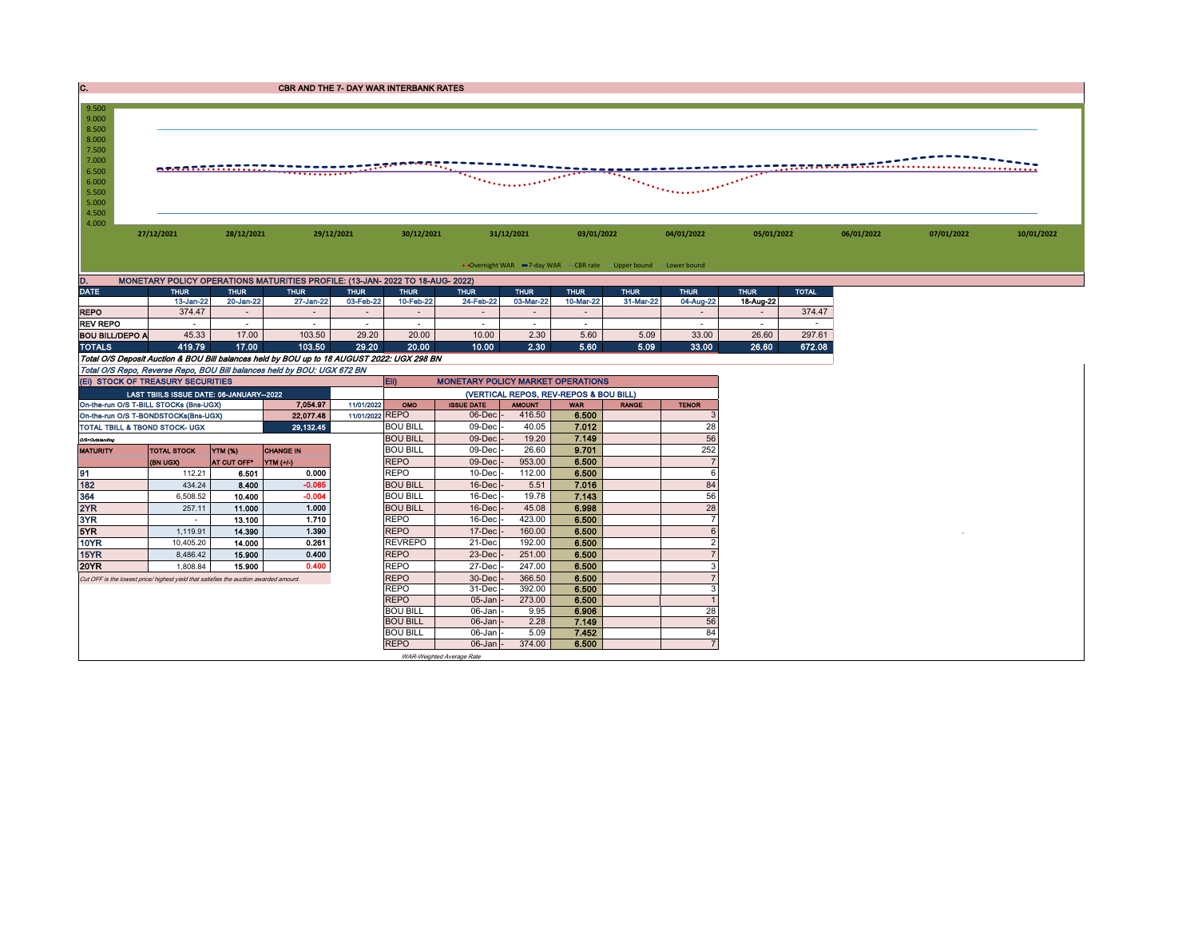| C.<br><b>CBR AND THE 7- DAY WAR INTERBANK RATES</b>                                                                                                |                                                                                                                                                                                                                                                                                                                                                                                                                                                                                                                                               |                          |                                                                                            |                          |                                    |                                          |                                        |                          |                          |                          |                          |              |            |            |            |
|----------------------------------------------------------------------------------------------------------------------------------------------------|-----------------------------------------------------------------------------------------------------------------------------------------------------------------------------------------------------------------------------------------------------------------------------------------------------------------------------------------------------------------------------------------------------------------------------------------------------------------------------------------------------------------------------------------------|--------------------------|--------------------------------------------------------------------------------------------|--------------------------|------------------------------------|------------------------------------------|----------------------------------------|--------------------------|--------------------------|--------------------------|--------------------------|--------------|------------|------------|------------|
| 9.500<br>9.000<br>8.500<br>8.000<br>7.500<br>7.000<br>6.500<br>6.000<br>5.500<br>5.000<br>4.500<br>4.000                                           | stanan prefi<br><u> ATABTARTARI II. II. II. II. II. II. II. II</u><br>e e comparador de la familie de la familie de la familie de la familie de la familie de la familie de la fami<br>Le familie de la familie de la familie de la familie de la familie de la familie de la familie de la familie d<br><u>The communication of the communication of the communication of the communication of the communication of the communication of the communication of the communication of the communication of the communication of the communi</u> |                          |                                                                                            |                          |                                    |                                          |                                        |                          |                          |                          |                          |              |            |            |            |
|                                                                                                                                                    | 27/12/2021<br>28/12/2021<br>29/12/2021                                                                                                                                                                                                                                                                                                                                                                                                                                                                                                        |                          |                                                                                            |                          |                                    | 30/12/2021<br>31/12/2021                 |                                        |                          | 03/01/2022               |                          | 05/01/2022               |              | 06/01/2022 | 07/01/2022 | 10/01/2022 |
|                                                                                                                                                    |                                                                                                                                                                                                                                                                                                                                                                                                                                                                                                                                               |                          |                                                                                            |                          |                                    |                                          |                                        |                          |                          |                          |                          |              |            |            |            |
| • Overnight WAR -7-day WAR - CBR rate - Upper bound - Lower bound<br>MONETARY POLICY OPERATIONS MATURITIES PROFILE: (13-JAN- 2022 TO 18-AUG- 2022) |                                                                                                                                                                                                                                                                                                                                                                                                                                                                                                                                               |                          |                                                                                            |                          |                                    |                                          |                                        |                          |                          |                          |                          |              |            |            |            |
| D.<br><b>DATE</b>                                                                                                                                  |                                                                                                                                                                                                                                                                                                                                                                                                                                                                                                                                               |                          |                                                                                            |                          |                                    |                                          |                                        |                          |                          |                          |                          |              |            |            |            |
|                                                                                                                                                    | <b>THUR</b><br>13-Jan-22                                                                                                                                                                                                                                                                                                                                                                                                                                                                                                                      | <b>THUR</b><br>20-Jan-22 | <b>THUR</b><br>27-Jan-22                                                                   | <b>THUR</b><br>03-Feb-22 | <b>THUR</b><br>10-Feb-22           | <b>THUR</b><br>24-Feb-22                 | <b>THUR</b><br>03-Mar-22               | <b>THUR</b><br>10-Mar-22 | <b>THUR</b><br>31-Mar-22 | <b>THUR</b><br>04-Aug-22 | <b>THUR</b><br>18-Aug-22 | <b>TOTAL</b> |            |            |            |
| <b>REPO</b>                                                                                                                                        | 374.47                                                                                                                                                                                                                                                                                                                                                                                                                                                                                                                                        | $\sim$                   | $\sim$                                                                                     | $\sim$                   | $\sim$                             | $\sim$                                   | $\sim$                                 | $\sim$                   |                          | $\sim$                   | $\sim$                   | 374.47       |            |            |            |
| <b>REV REPO</b>                                                                                                                                    | $\sim$                                                                                                                                                                                                                                                                                                                                                                                                                                                                                                                                        | $\sim$                   | $\sim$                                                                                     | $\sim$                   | $\sim$                             | $\sim$                                   | $\sim$                                 | $\sim$                   |                          | $\sim$                   | $\sim$                   | $\sim$       |            |            |            |
| <b>BOU BILL/DEPO A</b>                                                                                                                             | 45.33                                                                                                                                                                                                                                                                                                                                                                                                                                                                                                                                         | 17.00                    | 103.50                                                                                     | 29.20                    | 20.00                              | 10.00                                    | 2.30                                   | 5.60                     | 5.09                     | 33.00                    | 26.60                    | 297.61       |            |            |            |
| <b>TOTALS</b>                                                                                                                                      | 419.79                                                                                                                                                                                                                                                                                                                                                                                                                                                                                                                                        | 17.00                    | 103.50                                                                                     | 29.20                    | 20.00                              | 10.00                                    | 2.30                                   | 5.60                     | 5.09                     | 33.00                    | 26.60                    | 672.08       |            |            |            |
|                                                                                                                                                    |                                                                                                                                                                                                                                                                                                                                                                                                                                                                                                                                               |                          | Total O/S Deposit Auction & BOU Bill balances held by BOU up to 18 AUGUST 2022: UGX 298 BN |                          |                                    |                                          |                                        |                          |                          |                          |                          |              |            |            |            |
|                                                                                                                                                    |                                                                                                                                                                                                                                                                                                                                                                                                                                                                                                                                               |                          | Total O/S Repo, Reverse Repo, BOU Bill balances held by BOU: UGX 672 BN                    |                          |                                    |                                          |                                        |                          |                          |                          |                          |              |            |            |            |
| (EI) STOCK OF TREASURY SECURITIES                                                                                                                  |                                                                                                                                                                                                                                                                                                                                                                                                                                                                                                                                               |                          |                                                                                            |                          | Eii)                               | <b>MONETARY POLICY MARKET OPERATIONS</b> |                                        |                          |                          |                          |                          |              |            |            |            |
|                                                                                                                                                    | LAST TBIILS ISSUE DATE: 06-JANUARY-2022                                                                                                                                                                                                                                                                                                                                                                                                                                                                                                       |                          |                                                                                            |                          |                                    |                                          | (VERTICAL REPOS, REV-REPOS & BOU BILL) |                          |                          |                          |                          |              |            |            |            |
| On-the-run O/S T-BILL STOCKs (Bns-UGX)                                                                                                             |                                                                                                                                                                                                                                                                                                                                                                                                                                                                                                                                               |                          | 7,054.97                                                                                   | 11/01/2022               | OMO                                | <b>ISSUE DATE</b>                        | <b>AMOUNT</b>                          | <b>WAR</b>               | <b>RANGE</b>             | <b>TENOR</b>             |                          |              |            |            |            |
| On-the-run O/S T-BONDSTOCKs(Bns-UGX)                                                                                                               |                                                                                                                                                                                                                                                                                                                                                                                                                                                                                                                                               |                          | 22,077.48                                                                                  | 11/01/2022 REPO          |                                    | 06-Dec                                   | 416.50                                 | 6.500                    |                          |                          |                          |              |            |            |            |
| TOTAL TBILL & TBOND STOCK- UGX                                                                                                                     |                                                                                                                                                                                                                                                                                                                                                                                                                                                                                                                                               |                          | 29,132.45                                                                                  |                          | <b>BOU BILL</b>                    | 09-Dec                                   | 40.05                                  | 7.012                    |                          | 28                       |                          |              |            |            |            |
| O/S=Outstanding                                                                                                                                    |                                                                                                                                                                                                                                                                                                                                                                                                                                                                                                                                               |                          |                                                                                            |                          | <b>BOU BILL</b>                    | 09-Dec                                   | 19.20                                  | 7.149                    |                          | 56                       |                          |              |            |            |            |
| <b>MATURITY</b>                                                                                                                                    | <b>TOTAL STOCK</b>                                                                                                                                                                                                                                                                                                                                                                                                                                                                                                                            | <b>YTM (%)</b>           | <b>CHANGE IN</b>                                                                           |                          | <b>BOU BILL</b>                    | 09-Dec                                   | 26.60                                  | 9.701                    |                          | 252                      |                          |              |            |            |            |
|                                                                                                                                                    | (BN UGX)                                                                                                                                                                                                                                                                                                                                                                                                                                                                                                                                      | AT CUT OFF*              | YTM (+/-)                                                                                  |                          | <b>REPO</b>                        | 09-Dec                                   | 953.00                                 | 6.500                    |                          | $\overline{7}$           |                          |              |            |            |            |
| 91                                                                                                                                                 | 112.21                                                                                                                                                                                                                                                                                                                                                                                                                                                                                                                                        | 6.501                    | 0.000                                                                                      |                          | <b>REPO</b>                        | 10-Dec                                   | 112.00                                 | 6.500                    |                          | 6                        |                          |              |            |            |            |
| 182<br>364                                                                                                                                         | 434.24                                                                                                                                                                                                                                                                                                                                                                                                                                                                                                                                        | 8.400                    | $-0.065$                                                                                   |                          | <b>BOU BILL</b>                    | 16-Dec                                   | 5.51                                   | 7.016                    |                          | 84                       |                          |              |            |            |            |
| 2YR                                                                                                                                                | 6.508.52<br>257.11                                                                                                                                                                                                                                                                                                                                                                                                                                                                                                                            | 10,400<br>11.000         | $-0.004$<br>1.000                                                                          |                          | <b>BOU BILL</b><br><b>BOU BILL</b> | 16-Dec<br>16-Dec                         | 19.78<br>45.08                         | 7.143<br>6.998           |                          | 56<br>28                 |                          |              |            |            |            |
| 3YR                                                                                                                                                |                                                                                                                                                                                                                                                                                                                                                                                                                                                                                                                                               | 13.100                   | 1.710                                                                                      |                          | <b>REPO</b>                        | 16-Dec                                   | 423.00                                 | 6.500                    |                          | $\overline{7}$           |                          |              |            |            |            |
| 5YR                                                                                                                                                | 1,119.91                                                                                                                                                                                                                                                                                                                                                                                                                                                                                                                                      | 14.390                   | 1.390                                                                                      |                          | <b>REPO</b>                        | 17-Dec                                   | 160.00                                 | 6.500                    |                          | 6                        |                          |              |            |            |            |
| <b>10YR</b>                                                                                                                                        | 10,405.20                                                                                                                                                                                                                                                                                                                                                                                                                                                                                                                                     | 14.000                   | 0.261                                                                                      |                          | <b>REVREPO</b>                     | 21-Dec                                   | 192.00                                 | 6.500                    |                          | $\overline{2}$           |                          |              |            |            |            |
| 15YR                                                                                                                                               | 8,486.42                                                                                                                                                                                                                                                                                                                                                                                                                                                                                                                                      | 15.900                   | 0.400                                                                                      |                          | <b>REPO</b>                        | 23-Dec                                   | 251.00                                 | 6.500                    |                          | $\overline{7}$           |                          |              |            |            |            |
| <b>20YR</b>                                                                                                                                        | 1,808.84                                                                                                                                                                                                                                                                                                                                                                                                                                                                                                                                      | 15.900                   | 0.400                                                                                      |                          | <b>REPO</b>                        | 27-Dec                                   | 247.00                                 | 6.500                    |                          | 3                        |                          |              |            |            |            |
| <b>REPO</b><br>Cut OFF is the lowest price/ highest yield that satisfies the auction awarded amount.                                               |                                                                                                                                                                                                                                                                                                                                                                                                                                                                                                                                               |                          |                                                                                            |                          |                                    | 30-Dec                                   | 366.50                                 | 6.500                    |                          | $\overline{7}$           |                          |              |            |            |            |
| <b>REPO</b>                                                                                                                                        |                                                                                                                                                                                                                                                                                                                                                                                                                                                                                                                                               |                          |                                                                                            |                          |                                    |                                          | 392.00                                 | 6.500                    |                          | 3                        |                          |              |            |            |            |
| <b>REPO</b>                                                                                                                                        |                                                                                                                                                                                                                                                                                                                                                                                                                                                                                                                                               |                          |                                                                                            |                          |                                    | 05-Jan                                   | 273.00                                 | 6.500                    |                          |                          |                          |              |            |            |            |
| <b>BOU BILL</b>                                                                                                                                    |                                                                                                                                                                                                                                                                                                                                                                                                                                                                                                                                               |                          |                                                                                            |                          |                                    | 06-Jan                                   | 9.95                                   | 6.906                    |                          | 28                       |                          |              |            |            |            |
| <b>BOU BILL</b>                                                                                                                                    |                                                                                                                                                                                                                                                                                                                                                                                                                                                                                                                                               |                          |                                                                                            |                          |                                    | 06-Jan<br>06-Jan                         | 2.28                                   | 7.149                    |                          | 56                       |                          |              |            |            |            |
| <b>BOU BILL</b>                                                                                                                                    |                                                                                                                                                                                                                                                                                                                                                                                                                                                                                                                                               |                          |                                                                                            |                          |                                    |                                          | 5.09                                   | 7.452                    |                          | 84                       |                          |              |            |            |            |
|                                                                                                                                                    |                                                                                                                                                                                                                                                                                                                                                                                                                                                                                                                                               |                          |                                                                                            |                          | <b>REPO</b>                        | $06$ -Jan                                | 374.00                                 | 6.500                    |                          | $\overline{7}$           |                          |              |            |            |            |
|                                                                                                                                                    |                                                                                                                                                                                                                                                                                                                                                                                                                                                                                                                                               |                          |                                                                                            |                          |                                    | WAR-Weighted Average Rate                |                                        |                          |                          |                          |                          |              |            |            |            |